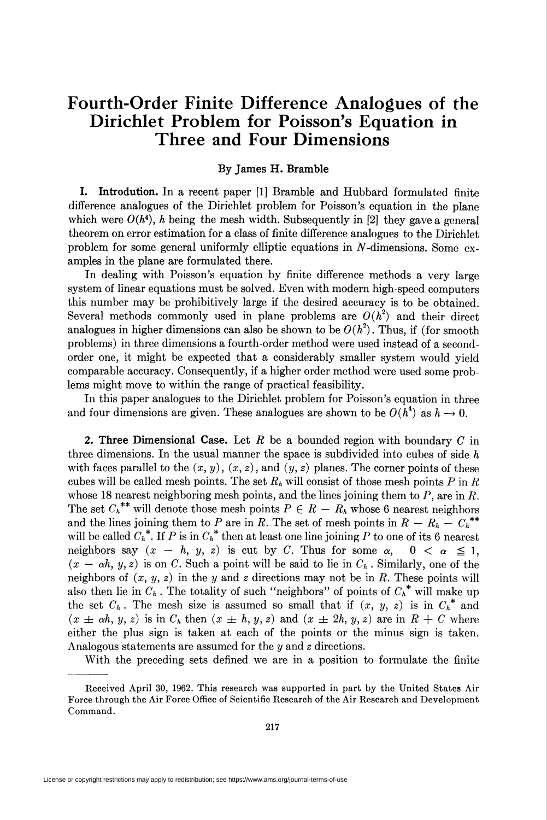## Fourth-Order Finite Difference Analogues of the Dirichlet Problem for Poisson's Equation in Three and Four Dimensions

## By James H. Bramble

I. Introdution. In a recent paper [1] Bramble and Hubbard formulated finite difference analogues of the Dirichlet problem for Poisson's equation in the plane which were  $O(h^4)$ , h being the mesh width. Subsequently in [2] they gave a general theorem on error estimation for a class of finite difference analogues to the Dirichlet problem for some general uniformly elliptic equations in  $N$ -dimensions. Some examples in the plane are formulated there.

In dealing with Poisson's equation by finite difference methods a very large system of linear equations must be solved. Even with modern high-speed computers this number may be prohibitively large if the desired accuracy is to be obtained. Several methods commonly used in plane problems are  $O(h^2)$  and their direct analogues in higher dimensions can also be shown to be  $O(h^2)$ . Thus, if (for smooth problems) in three dimensions a fourth-order method were used instead of a secondorder one, it might be expected that a considerably smaller system would yield comparable accuracy. Consequently, if a higher order method were used some problems might move to within the range of practical feasibility.

In this paper analogues to the Dirichlet problem for Poisson's equation in three and four dimensions are given. These analogues are shown to be  $O(h^4)$  as  $h \to 0$ .

2. Three Dimensional Case. Let R be a bounded region with boundary C in three dimensions. In the usual manner the space is subdivided into cubes of side  $h$ with faces parallel to the  $(x, y)$ ,  $(x, z)$ , and  $(y, z)$  planes. The corner points of these cubes will be called mesh points. The set  $R_h$  will consist of those mesh points P in R whose 18 nearest neighboring mesh points, and the lines joining them to  $P$ , are in  $R$ . The set  $C_h^{**}$  will denote those mesh points  $P \in R - R_h$  whose 6 nearest neighbors and the lines joining them to P are in R. The set of mesh points in  $R - R_h - C_h^{**}$ will be called  $C_h^*$ . If P is in  $C_h^*$  then at least one line joining P to one of its 6 nearest neighbors say  $(x - h, y, z)$  is cut by C. Thus for some  $\alpha$ ,  $0 < \alpha \leq 1$ ,  $(x - \alpha h, y, z)$  is on C. Such a point will be said to lie in  $C_h$ . Similarly, one of the neighbors of  $(x, y, z)$  in the y and z directions may not be in R. These points will also then lie in  $C_h$ . The totality of such "neighbors" of points of  $C_h^*$  will make up the set  $C_h$ . The mesh size is assumed so small that if  $(x, y, z)$  is in  $C_h^*$  and  $(x \pm \alpha h, y, z)$  is in  $C_h$  then  $(x \pm h, y, z)$  and  $(x \pm 2h, y, z)$  are in  $R + C$  where either the plus sign is taken at each of the points or the minus sign is taken. Analogous statements are assumed for the y and z directions.

With the preceding sets defined we are in a position to formulate the finite

Received April 30, 1962. This research was supported in part by the United States Air Force through the Air Force Office of Scientific Research of the Air Research and Development Command.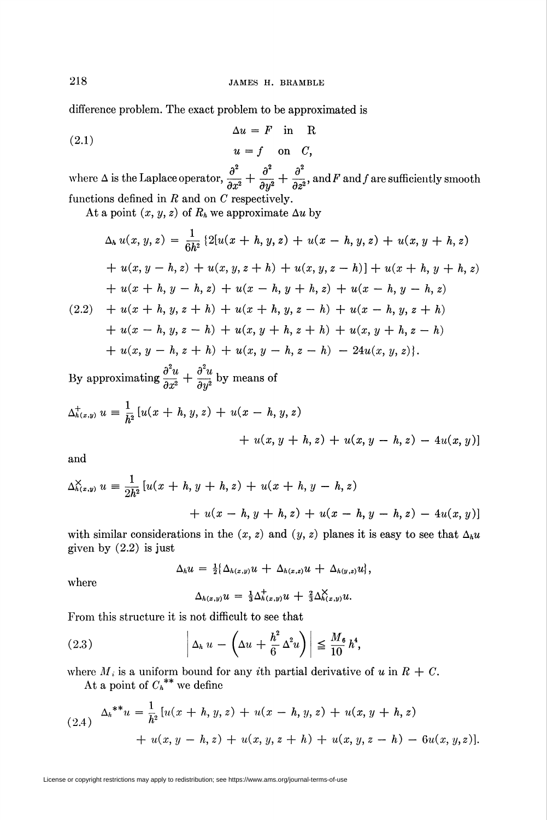difference problem. The exact problem to be approximated is

(2.1) 
$$
\Delta u = F \text{ in } R
$$

$$
u = f \text{ on } C,
$$

where  $\Delta$  is the Laplace operator,  $\frac{\partial}{\partial x^2} + \frac{\partial}{\partial y^2} + \frac{\partial}{\partial z^2}$ , and F and f are sufficiently smooth functions defined in  $R$  and on  $C$  respectively.

At a point  $(x, y, z)$  of  $R_h$  we approximate  $\Delta u$  by

$$
\Delta_h u(x, y, z) = \frac{1}{6h^2} \left\{ 2[u(x+h, y, z) + u(x-h, y, z) + u(x, y+h, z) + u(x, y-h, z) + u(x, y, z+h) + u(x, y, z-h) \right\} + u(x+h, y+h, z) + u(x+h, y-h, z) + u(x-h, y+h, z) + u(x-h, y-h, z) + u(x+h, y, z+h) + u(x+h, y, z-h) + u(x-h, y, z+h) + u(x-h, y, z-h) + u(x, y+h, z+h) + u(x, y-h, z-h) + u(x, y-h, z+h) + u(x, y-h, z-h) - 24u(x, y, z) \right\}.
$$

By approximating  $\frac{\partial}{\partial x^2} + \frac{\partial}{\partial y^2}$  by means of

$$
\Delta_{h(x,y)}^+ u = \frac{1}{h^2} [u(x+h, y, z) + u(x-h, y, z) + u(x, y+h, z) + u(x, y-h, z) - 4u(x, y)]
$$

and

$$
\Delta_{h(x,y)}^{\times} u = \frac{1}{2h^2} \left[ u(x+h, y+h, z) + u(x+h, y-h, z) + u(x-h, y+h, z) + u(x-h, y-h, z) - 4u(x, y) \right]
$$

with similar considerations in the  $(x, z)$  and  $(y, z)$  planes it is easy to see that  $\Delta_h u$ given by  $(2.2)$  is just

$$
\Delta_h u = \tfrac{1}{2} \{\Delta_{h(x,y)} u + \Delta_{h(x,z)} u + \Delta_{h(y,z)} u\},
$$

where

$$
\Delta_{h(x,y)}u = \frac{1}{3}\Delta^+_{h(x,y)}u + \frac{2}{3}\Delta^{\times}_{h(x,y)}u.
$$

From this structure it is not difficult to see that

(2.3) 
$$
\left| \Delta_h u - \left( \Delta u + \frac{h^2}{6} \Delta^2 u \right) \right| \leq \frac{M_6}{10} h^4,
$$

where  $M_i$  is a uniform bound for any *i*th partial derivative of u in  $R + C$ .

At a point of  $C_h^{\ast\ast}$  we define

$$
(2.4) \quad \Delta_h^{**}u = \frac{1}{h^2} \left[ u(x+h, y, z) + u(x-h, y, z) + u(x, y+h, z) \right. \\ \left. + u(x, y-h, z) + u(x, y, z+h) + u(x, y, z-h) - 6u(x, y, z) \right].
$$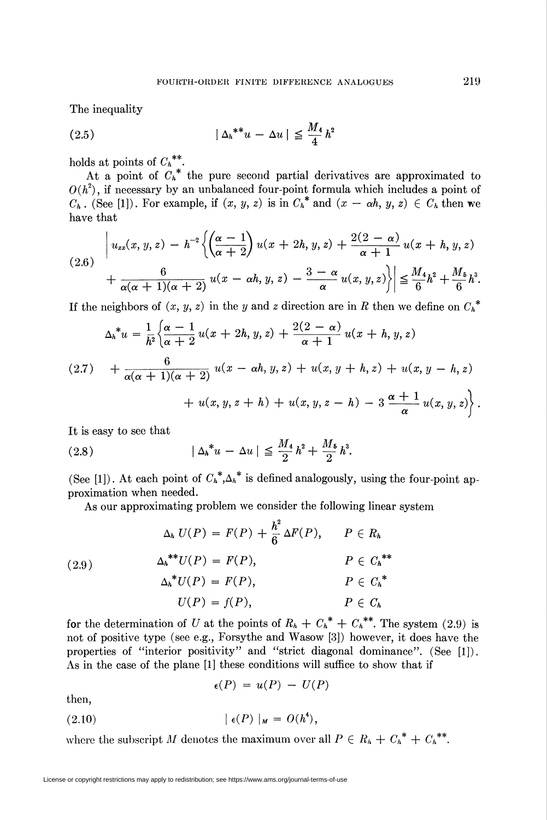The inequality

$$
(2.5) \t\t\t |\Delta_h^{**}u - \Delta u| \le \frac{M_4}{4}h^2
$$

holds at points of  $C_h^{**}$ .

have that At a point of  $C_h^*$  the pure second partial derivatives are approximated to  $O(h^2)$ , if necessary by an unbalanced four-point formula which includes a point of  $C_h$ . (See [1]). For example, if  $(x, y, z)$  is in  $C_h^*$  and  $(x - \alpha h, y, z) \in C_h$  then we

$$
(2.6) \quad \begin{aligned} \left| u_{xx}(x,y,z) - h^{-2} \left\{ \left( \frac{\alpha - 1}{\alpha + 2} \right) u(x+2h,y,z) + \frac{2(2 - \alpha)}{\alpha + 1} u(x+h,y,z) \right. \\ \left. + \frac{6}{\alpha(\alpha + 1)(\alpha + 2)} u(x - \alpha h, y, z) - \frac{3 - \alpha}{\alpha} u(x,y,z) \right\} \right| &\leq \frac{M_4}{6} h^2 + \frac{M_5}{6} h^3. \end{aligned}
$$

If the neighbors of  $(x, y, z)$  in the y and z direction are in R then we define on  $C_h^*$ 

$$
\Delta_h^* u = \frac{1}{h^2} \left\{ \frac{\alpha - 1}{\alpha + 2} u(x + 2h, y, z) + \frac{2(2 - \alpha)}{\alpha + 1} u(x + h, y, z) + \frac{6}{\alpha(\alpha + 1)(\alpha + 2)} u(x - \alpha h, y, z) + u(x, y + h, z) + u(x, y - h, z) + u(x, y, z + h) + u(x, y, z - h) - 3 \frac{\alpha + 1}{\alpha} u(x, y, z) \right\}.
$$

It is easy to see that

(2.8) 
$$
|\Delta_h^* u - \Delta u| \leq \frac{M_4}{2} h^2 + \frac{M_5}{2} h^3.
$$

(See [1]). At each point of  $C_h^* A_h^*$  is defined analogously, using the four-point approximation when needed.

As our approximating problem we consider the following linear system

$$
\Delta_h U(P) = F(P) + \frac{h^2}{6} \Delta F(P), \qquad P \in R_h
$$
  
(2.9)  

$$
\Delta_h^{**} U(P) = F(P), \qquad P \in C_h^{**}
$$
  

$$
\Delta_h^* U(P) = F(P), \qquad P \in C_h^*
$$
  

$$
U(P) = f(P), \qquad P \in C_h
$$

for the determination of U at the points of  $R_h + C_h^* + C_h^{**}$ . The system (2.9) is not of positive type (see e.g., Forsythe and Wasow [3]) however, it does have the properties of "interior positivity" and "strict diagonal dominance". (See [1]). As in the case of the plane [1] these conditions will suffice to show that if

$$
\epsilon(P) = u(P) - U(P)
$$

then,

$$
(2.10) \qquad \qquad \vert \epsilon(P) \vert_M = O(h^4),
$$

where the subscript M denotes the maximum over all  $P \in R_h + C_h^* + C_h^{**}$ .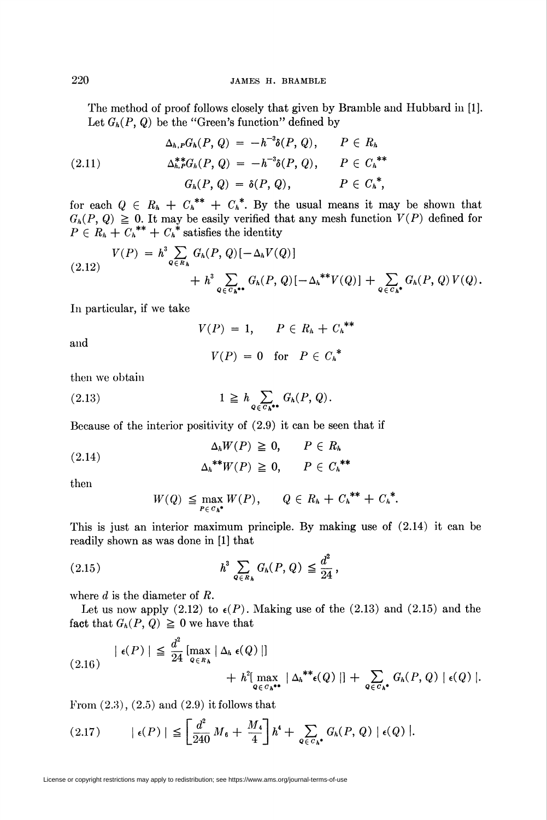The method of proof follows closely that given by Bramble and Hubbard in [1]. Let  $G_h(P, Q)$  be the "Green's function" defined by

(2.11) 
$$
\Delta_{h,P}G_{h}(P, Q) = -h^{-3}\delta(P, Q), \qquad P \in R_{h}
$$

$$
\Delta_{h,P}^{**}G_{h}(P, Q) = -h^{-3}\delta(P, Q), \qquad P \in C_{h}^{**}
$$

$$
G_{h}(P, Q) = \delta(P, Q), \qquad P \in C_{h}^{*},
$$

for each  $Q \in R_h + C_h^{**} + C_h^*$ . By the usual means it may be shown that  $G_h(P, Q) \geq 0$ . It may be easily verified that any mesh function  $V(P)$  defined for  $P \in R_h + C_h$ <sup>\*\*</sup> +  $C_h$ <sup>\*</sup> satisfies the identity

$$
(2.12) \quad V(P) = h^3 \sum_{Q \in R_h} G_h(P,Q) [-\Delta_h V(Q)]
$$
  
+ 
$$
h^3 \sum_{Q \in G_h \bullet \bullet} G_h(P,Q) [-\Delta_h^{\ast \ast} V(Q)] + \sum_{Q \in G_h \bullet} G_h(P,Q) V(Q).
$$

In particular, if we take

 $V(P) = 1, \quad P \in R_h + C_h^{**}$ 

and

$$
V(P) = 0 \quad \text{for} \quad P \in C_h^*
$$

then we obtain

$$
(2.13) \t\t\t 1 \geq h \sum_{Q \in C_h^{**}} G_h(P, Q).
$$

Because of the interior positivity of (2.9) it can be seen that if

(2.14) 
$$
\Delta_h W(P) \geq 0, \qquad P \in R_h
$$

$$
\Delta_h^{**} W(P) \geq 0, \qquad P \in C_h^{**}
$$

then

$$
W(Q) \leq \max_{P \in C_h^*} W(P), \qquad Q \in R_h + C_h^{**} + C_h^*.
$$

This is just an interior maximum principle. By making use of (2.14) it can be readily shown as was done in [1] that

(2.15) 
$$
h^3 \sum_{Q \in R_h} G_h(P, Q) \leq \frac{d^2}{24},
$$

where  $d$  is the diameter of  $R$ .

Let us now apply (2.12) to  $\epsilon(P)$ . Making use of the (2.13) and (2.15) and the fact that  $G_h(P, Q) \geq 0$  we have that

$$
(2.16) \quad |\epsilon(P)| \leq \frac{d^2}{24} \left[ \max_{Q \in R_h} |\Delta_h \epsilon(Q)| \right] \quad + h^2 \left[ \max_{Q \in C_h^{**}} |\Delta_h^{**} \epsilon(Q)| \right] + \sum_{Q \in C_h^{**}} G_h(P,Q) \left[ \epsilon(Q) \right].
$$

From  $(2.3)$ ,  $(2.5)$  and  $(2.9)$  it follows that

$$
(2.17) \qquad \vert \epsilon(P) \vert \leq \left[ \frac{d^2}{240} M_6 + \frac{M_4}{4} \right] h^4 + \sum_{Q \in C_h^*} G_h(P, Q) \vert \epsilon(Q) \vert.
$$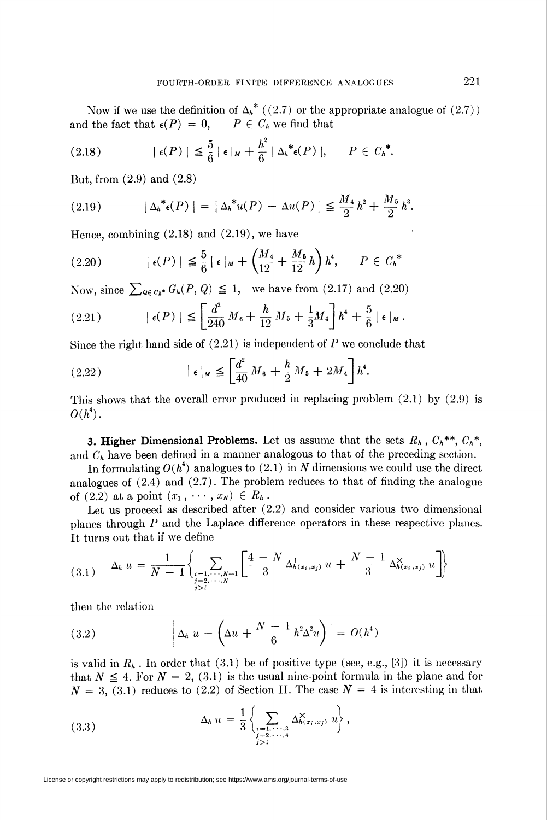Now if we use the definition of  $\Delta_h^*$  ((2.7) or the appropriate analogue of (2.7)) <br>i the fact that  $\epsilon(P) = 0$ ,  $P \in C_h$  we find that and the fact that  $\epsilon(P) = 0$ ,

$$
(2.18) \qquad |\epsilon(P)| \leq \frac{5}{6} |\epsilon|_{M} + \frac{h^2}{6} |\Delta_{h}^{*} \epsilon(P)|, \qquad P \in C_{h}^{*}.
$$

But, from (2.9) and (2.8)

(2.19) 
$$
|\Delta_{h}^{*}(\mathbf{P})| = |\Delta_{h}^{*}u(\mathbf{P}) - \Delta u(\mathbf{P})| \leq \frac{M_{4}}{2}h^{2} + \frac{M_{5}}{2}h^{3}.
$$

Hence, combining  $(2.18)$  and  $(2.19)$ , we have

$$
(2.20) \qquad |\epsilon(P)| \leq \frac{5}{6} |\epsilon|_M + \left(\frac{M_4}{12} + \frac{M_5}{12}h\right)h^4, \qquad P \in C_h^*
$$

Now, since  $\sum_{\mathbf{Q} \in \mathcal{C}_h^*} G_h(P, Q) \leq 1$ , we have from (2.17) and (2.20)

(2.21) 
$$
|\epsilon(P)| \leq \left[\frac{d^2}{240} M_6 + \frac{h}{12} M_5 + \frac{1}{3} M_4\right] h^4 + \frac{5}{6} |\epsilon|_M.
$$

Since the right hand side of  $(2.21)$  is independent of P we conclude that

(2.22) 
$$
|\epsilon|_M \leqq \left[\frac{d^2}{40} M_6 + \frac{h}{2} M_5 + 2M_4\right] h^4.
$$

This shows that the overall error produced in replacing problem (2.1) by (2.9) is  $O(h^4)$ .

**3. Higher Dimensional Problems.** Let us assume that the sets  $R_h$ ,  $C_h^{**}$ ,  $C_h^{**}$ , and  $C_h$  have been defined in a manner analogous to that of the preceding section.

In formulating  $O(h^4)$  analogues to (2.1) in N dimensions we could use the direct analogues of (2.4) and (2.7). The problem reduces to that of finding the analogue of (2.2) at a point  $(x_1, \cdots, x_N) \in R_h$ .

Let us proceed as described after  $(2.2)$  and consider various two dimensional planes through P and the Laplace difference operators in these respective planes. It turns out that if we define

$$
(3.1) \quad \Delta_h u = \frac{1}{N-1} \left\{ \sum_{\substack{i=1,\dots,N-1 \\ j>i}} \left[ \frac{4-N}{3} \Delta_{h(x_i,x_j)}^+ u + \frac{N-1}{3} \Delta_{h(x_i,x_j)}^{\times} u \right] \right\}
$$

then the relation

(3.2) 
$$
\left| \Delta_h u - \left( \Delta u + \frac{N-1}{6} h^2 \Delta^2 u \right) \right| = O(h^4)
$$

is valid in  $R_h$ . In order that (3.1) be of positive type (see, e.g., [3]) it is necessary that  $N \leq 4$ . For  $N = 2$ , (3.1) is the usual nine-point formula in the plane and for  $N = 3$ , (3.1) reduces to (2.2) of Section II. The case  $N = 4$  is interesting in that

$$
(3.3) \qquad \Delta_h \, u = \frac{1}{3} \left\{ \sum_{\substack{i=1,\dots,3 \\ j \geq 2,\dots,4}} \Delta_{h(x_i,x_j)}^{\times} u \right\},
$$